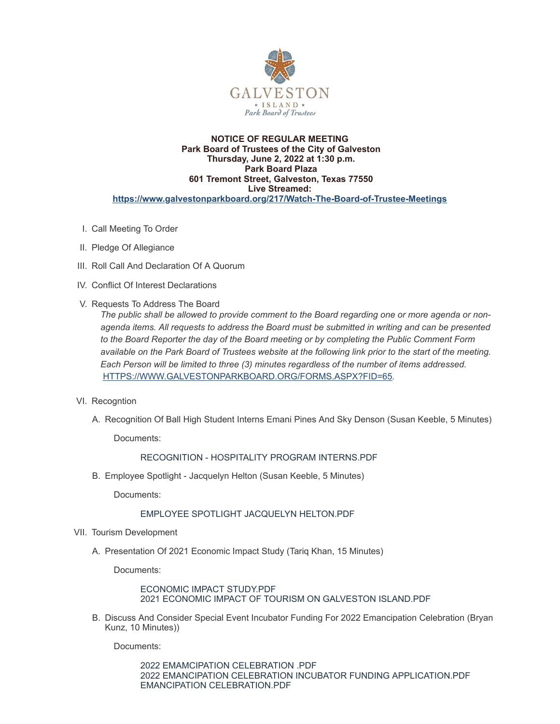

#### **NOTICE OF REGULAR MEETING Park Board of Trustees of the City of Galveston Thursday, June 2, 2022 at 1:30 p.m. Park Board Plaza 601 Tremont Street, Galveston, Texas 77550 Live Streamed: <https://www.galvestonparkboard.org/217/Watch-The-Board-of-Trustee-Meetings>**

- I. Call Meeting To Order
- II. Pledge Of Allegiance
- III. Roll Call And Declaration Of A Quorum
- IV. Conflict Of Interest Declarations
- V. Requests To Address The Board

*The public shall be allowed to provide comment to the Board regarding one or more agenda or nonagenda items. All requests to address the Board must be submitted in writing and can be presented to the Board Reporter the day of the Board meeting or by completing the Public Comment Form* available on the Park Board of Trustees website at the following link prior to the start of the meeting. *Each Person will be limited to three (3) minutes regardless of the number of items addressed.* [HTTPS://WWW.GALVESTONPARKBOARD.ORG/FORMS.ASPX?FID=65](https://www.galvestonparkboard.org/forms.aspx?FID=65)*.*

- VI. Recogntion
	- A. Recognition Of Ball High Student Interns Emani Pines And Sky Denson (Susan Keeble, 5 Minutes)

Documents:

[RECOGNITION](https://www.galvestonparkboard.org/AgendaCenter/ViewFile/Item/7695?fileID=11893) - HOSPITALITY PROGRAM INTERNS.PDF

B. Employee Spotlight - Jacquelyn Helton (Susan Keeble, 5 Minutes)

Documents:

# EMPLOYEE SPOTLIGHT JACQUELYN [HELTON.PDF](https://www.galvestonparkboard.org/AgendaCenter/ViewFile/Item/7694?fileID=11677)

- VII. Tourism Development
	- A. Presentation Of 2021 Economic Impact Study (Tariq Khan, 15 Minutes)

Documents:

# ECONOMIC IMPACT [STUDY.PDF](https://www.galvestonparkboard.org/AgendaCenter/ViewFile/Item/7768?fileID=11894) 2021 ECONOMIC IMPACT OF TOURISM ON [GALVESTON](https://www.galvestonparkboard.org/AgendaCenter/ViewFile/Item/7768?fileID=11895) ISLAND.PDF

B. Discuss And Consider Special Event Incubator Funding For 2022 Emancipation Celebration (Bryan Kunz, 10 Minutes))

Documents:

2022 [EMAMCIPATION](https://www.galvestonparkboard.org/AgendaCenter/ViewFile/Item/7766?fileID=11967) CELEBRATION .PDF 2022 EMANCIPATION CELEBRATION INCUBATOR FUNDING [APPLICATION.PDF](https://www.galvestonparkboard.org/AgendaCenter/ViewFile/Item/7766?fileID=11910) EMANCIPATION [CELEBRATION.PDF](https://www.galvestonparkboard.org/AgendaCenter/ViewFile/Item/7766?fileID=11911)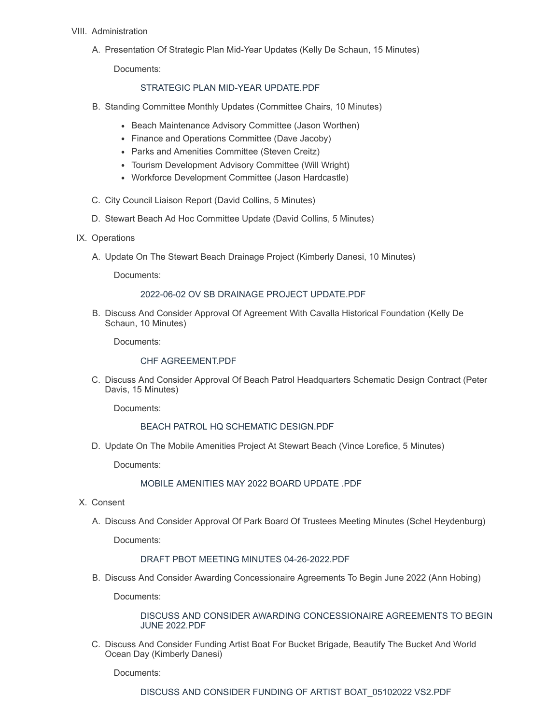# VIII. Administration

A. Presentation Of Strategic Plan Mid-Year Updates (Kelly De Schaun, 15 Minutes)

Documents:

## STRATEGIC PLAN MID-YEAR [UPDATE.PDF](https://www.galvestonparkboard.org/AgendaCenter/ViewFile/Item/7765?fileID=11968)

- B. Standing Committee Monthly Updates (Committee Chairs, 10 Minutes)
	- Beach Maintenance Advisory Committee (Jason Worthen)
	- Finance and Operations Committee (Dave Jacoby)
	- Parks and Amenities Committee (Steven Creitz)
	- Tourism Development Advisory Committee (Will Wright)
	- Workforce Development Committee (Jason Hardcastle)
- C. City Council Liaison Report (David Collins, 5 Minutes)
- D. Stewart Beach Ad Hoc Committee Update (David Collins, 5 Minutes)
- IX. Operations
	- A. Update On The Stewart Beach Drainage Project (Kimberly Danesi, 10 Minutes)

Documents:

#### 2022-06-02 OV SB DRAINAGE PROJECT [UPDATE.PDF](https://www.galvestonparkboard.org/AgendaCenter/ViewFile/Item/7767?fileID=11898)

B. Discuss And Consider Approval Of Agreement With Cavalla Historical Foundation (Kelly De Schaun, 10 Minutes)

Documents:

#### CHF [AGREEMENT.PDF](https://www.galvestonparkboard.org/AgendaCenter/ViewFile/Item/7770?fileID=11915)

C. Discuss And Consider Approval Of Beach Patrol Headquarters Schematic Design Contract (Peter Davis, 15 Minutes)

Documents:

#### BEACH PATROL HQ SCHEMATIC [DESIGN.PDF](https://www.galvestonparkboard.org/AgendaCenter/ViewFile/Item/7712?fileID=11904)

D. Update On The Mobile Amenities Project At Stewart Beach (Vince Lorefice, 5 Minutes)

Documents:

MOBILE [AMENITIES](https://www.galvestonparkboard.org/AgendaCenter/ViewFile/Item/7693?fileID=11668) MAY 2022 BOARD UPDATE .PDF

- X. Consent
	- A. Discuss And Consider Approval Of Park Board Of Trustees Meeting Minutes (Schel Heydenburg)

Documents:

# DRAFT PBOT MEETING MINUTES [04-26-2022.PDF](https://www.galvestonparkboard.org/AgendaCenter/ViewFile/Item/7735?fileID=11891)

B. Discuss And Consider Awarding Concessionaire Agreements To Begin June 2022 (Ann Hobing)

Documents:

DISCUSS AND CONSIDER AWARDING [CONCESSIONAIRE](https://www.galvestonparkboard.org/AgendaCenter/ViewFile/Item/7711?fileID=11680) AGREEMENTS TO BEGIN JUNE 2022.PDF

C. Discuss And Consider Funding Artist Boat For Bucket Brigade, Beautify The Bucket And World Ocean Day (Kimberly Danesi)

Documents: